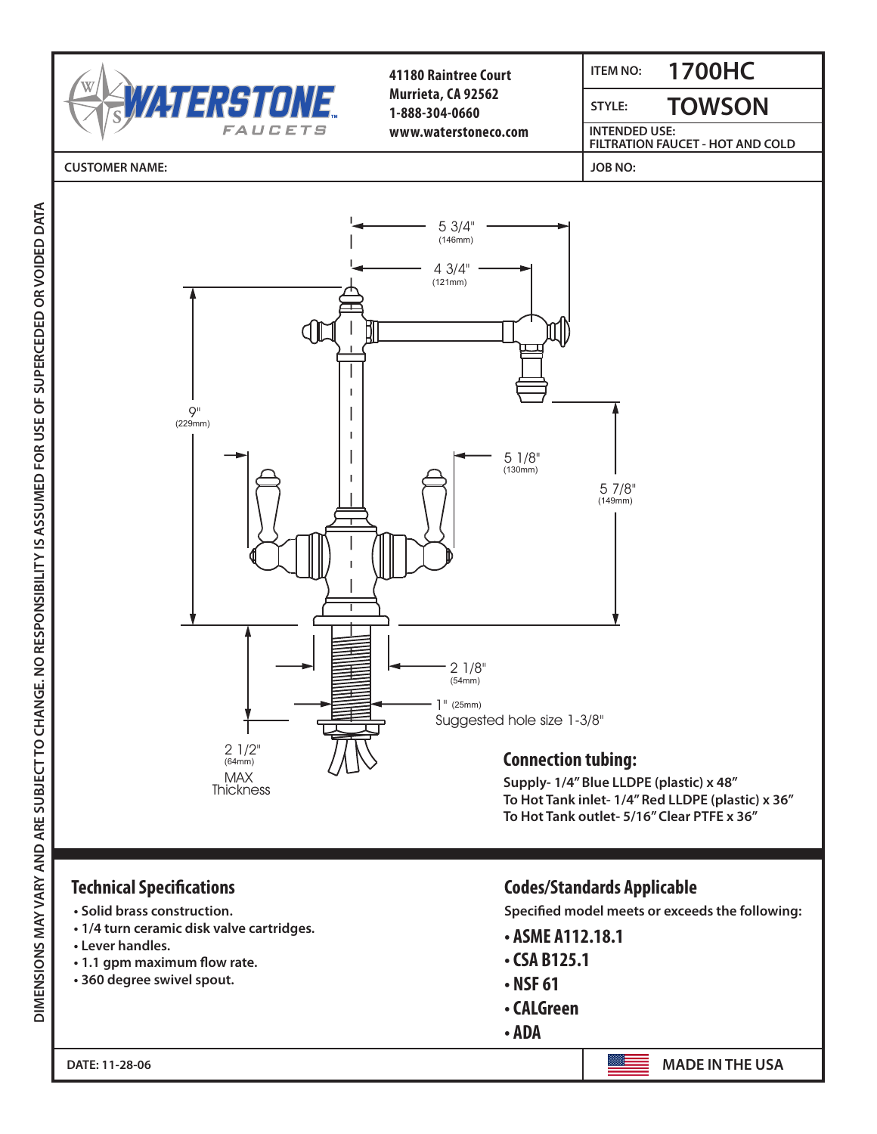

 $26790 \text{ N} \cdot \text{C}$ 41180 Raintree Court 1700HC 888-304-0660 **Murrieta, CA 92562** www.waterstoneco.com **www.waterstoneco.com 1-888-304-0660**

**ITEM NO: 1700HC**

JOB NO:

TOWSON **TOWSON** STYLE: **STYLE:**

**INTENDED USE: Fig. 2 FILTRATION FAUCET - HOT AND COLD**

ITEM NO:

CUSTOMER NAME: **CUSTOMER NAME: JOB NO:**

IDED DAIA



Connection tubing: **Supply- 1/4" Blue LLDPE (plastic) x 48"** Supply- 1/4" Blue LLDI L (plastic) *i*<br>To Het Tank in let 1/4" Red H DDF To Hot Tank linet-  $1/4$  Hed LLDFE (plastic)  $\lambda$ <br>To Hot Tank outlet:  $5/16$ " Closs DTFF  $\lambda$  36" To Hot Tank outlet- 5/16" Clear PTFE x 36"  $\sim$ (12.2cm) **To Hot Tank inlet- 1/4" Red LLDPE (plastic) x 36"** 

## $\overline{S}$  solid brass construction. 1ecnnical >peciπcations

Technical Specifications:

- $\cdot$  Solid brass construction.
- Production. 360 degree swivel spout. **• 1/4 turn ceramic disk valve cartridges.**
	- **Lever handles.**

**DATE: 11-28-06**

- **1.1 gpm maximum flow rate.**
- **360 degree swivel spout.**

## Codes/Standards Applicable Specified model meets or exceeds the following: **Technical Specifications Codes/Standards Applicable**

Specified model meets or exceeds the following<mark>:</mark>

- **ASME A112.18.1**
- ABIZ<mark>)</mark> • CSA B125.1
- **NSF 61**
- **CALGreen**
- **ADA**

**DATE: 11-28-06 MADE IN THE USA.**